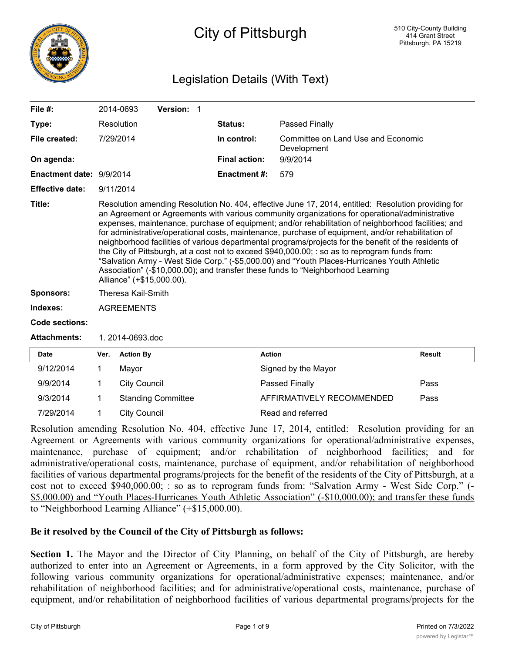

## City of Pittsburgh

### Legislation Details (With Text)

| File $#$ :               | 2014-0693                                                                                                                                                                                                                                                                                                                                                                                                                                                                                                                                                                                                                                                                                                                                                                                                                                     | Version: 1 |                      |                                                   |  |
|--------------------------|-----------------------------------------------------------------------------------------------------------------------------------------------------------------------------------------------------------------------------------------------------------------------------------------------------------------------------------------------------------------------------------------------------------------------------------------------------------------------------------------------------------------------------------------------------------------------------------------------------------------------------------------------------------------------------------------------------------------------------------------------------------------------------------------------------------------------------------------------|------------|----------------------|---------------------------------------------------|--|
| Type:                    | Resolution                                                                                                                                                                                                                                                                                                                                                                                                                                                                                                                                                                                                                                                                                                                                                                                                                                    |            | <b>Status:</b>       | Passed Finally                                    |  |
| File created:            | 7/29/2014                                                                                                                                                                                                                                                                                                                                                                                                                                                                                                                                                                                                                                                                                                                                                                                                                                     |            | In control:          | Committee on Land Use and Economic<br>Development |  |
| On agenda:               |                                                                                                                                                                                                                                                                                                                                                                                                                                                                                                                                                                                                                                                                                                                                                                                                                                               |            | <b>Final action:</b> | 9/9/2014                                          |  |
| Enactment date: 9/9/2014 |                                                                                                                                                                                                                                                                                                                                                                                                                                                                                                                                                                                                                                                                                                                                                                                                                                               |            | <b>Enactment #:</b>  | 579                                               |  |
| <b>Effective date:</b>   | 9/11/2014                                                                                                                                                                                                                                                                                                                                                                                                                                                                                                                                                                                                                                                                                                                                                                                                                                     |            |                      |                                                   |  |
| Title:                   | Resolution amending Resolution No. 404, effective June 17, 2014, entitled: Resolution providing for<br>an Agreement or Agreements with various community organizations for operational/administrative<br>expenses, maintenance, purchase of equipment; and/or rehabilitation of neighborhood facilities; and<br>for administrative/operational costs, maintenance, purchase of equipment, and/or rehabilitation of<br>neighborhood facilities of various departmental programs/projects for the benefit of the residents of<br>the City of Pittsburgh, at a cost not to exceed \$940,000.00; : so as to reprogram funds from:<br>"Salvation Army - West Side Corp." (-\$5,000.00) and "Youth Places-Hurricanes Youth Athletic<br>Association" (-\$10,000.00); and transfer these funds to "Neighborhood Learning<br>Alliance" (+\$15,000.00). |            |                      |                                                   |  |
| <b>Sponsors:</b>         | Theresa Kail-Smith                                                                                                                                                                                                                                                                                                                                                                                                                                                                                                                                                                                                                                                                                                                                                                                                                            |            |                      |                                                   |  |
| Indexes:                 | <b>AGREEMENTS</b>                                                                                                                                                                                                                                                                                                                                                                                                                                                                                                                                                                                                                                                                                                                                                                                                                             |            |                      |                                                   |  |
| <b>Code sections:</b>    |                                                                                                                                                                                                                                                                                                                                                                                                                                                                                                                                                                                                                                                                                                                                                                                                                                               |            |                      |                                                   |  |
| <b>Attachments:</b>      | 1.2014-0693.doc                                                                                                                                                                                                                                                                                                                                                                                                                                                                                                                                                                                                                                                                                                                                                                                                                               |            |                      |                                                   |  |
| <b>Date</b>              | <b>Action By</b><br>Ver.                                                                                                                                                                                                                                                                                                                                                                                                                                                                                                                                                                                                                                                                                                                                                                                                                      |            | <b>Action</b>        | <b>Result</b>                                     |  |

| <b>Date</b> | Ver. | <b>Action By</b>          | Action                    | <b>Result</b> |
|-------------|------|---------------------------|---------------------------|---------------|
| 9/12/2014   |      | Mavor                     | Signed by the Mayor       |               |
| 9/9/2014    |      | City Council              | <b>Passed Finally</b>     | Pass          |
| 9/3/2014    |      | <b>Standing Committee</b> | AFFIRMATIVELY RECOMMENDED | Pass          |
| 7/29/2014   |      | City Council              | Read and referred         |               |

Resolution amending Resolution No. 404, effective June 17, 2014, entitled: Resolution providing for an Agreement or Agreements with various community organizations for operational/administrative expenses, maintenance, purchase of equipment; and/or rehabilitation of neighborhood facilities; and for administrative/operational costs, maintenance, purchase of equipment, and/or rehabilitation of neighborhood facilities of various departmental programs/projects for the benefit of the residents of the City of Pittsburgh, at a cost not to exceed \$940,000.00; : so as to reprogram funds from: "Salvation Army - West Side Corp." (-\$5,000.00) and "Youth Places-Hurricanes Youth Athletic Association" (-\$10,000.00); and transfer these funds to "Neighborhood Learning Alliance" (+\$15,000.00).

#### **Be it resolved by the Council of the City of Pittsburgh as follows:**

**Section 1.** The Mayor and the Director of City Planning, on behalf of the City of Pittsburgh, are hereby authorized to enter into an Agreement or Agreements, in a form approved by the City Solicitor, with the following various community organizations for operational/administrative expenses; maintenance, and/or rehabilitation of neighborhood facilities; and for administrative/operational costs, maintenance, purchase of equipment, and/or rehabilitation of neighborhood facilities of various departmental programs/projects for the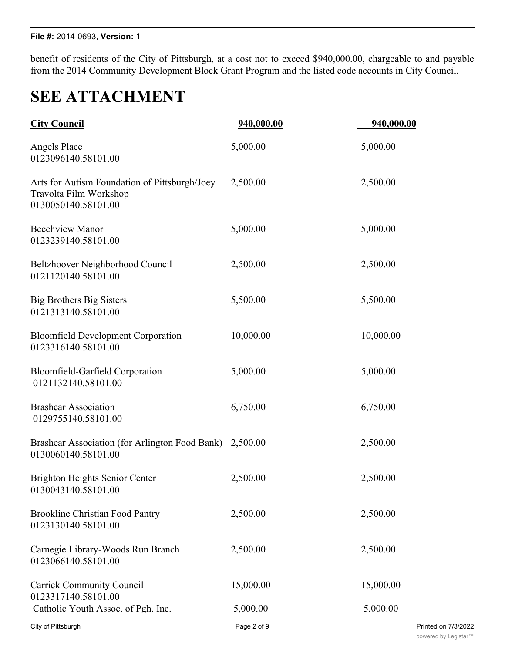benefit of residents of the City of Pittsburgh, at a cost not to exceed \$940,000.00, chargeable to and payable from the 2014 Community Development Block Grant Program and the listed code accounts in City Council.

# **SEE ATTACHMENT**

| <b>City Council</b>                                                                            | 940,000.00  | 940,000.00          |
|------------------------------------------------------------------------------------------------|-------------|---------------------|
| Angels Place<br>0123096140.58101.00                                                            | 5,000.00    | 5,000.00            |
| Arts for Autism Foundation of Pittsburgh/Joey<br>Travolta Film Workshop<br>0130050140.58101.00 | 2,500.00    | 2,500.00            |
| <b>Beechview Manor</b><br>0123239140.58101.00                                                  | 5,000.00    | 5,000.00            |
| Beltzhoover Neighborhood Council<br>0121120140.58101.00                                        | 2,500.00    | 2,500.00            |
| <b>Big Brothers Big Sisters</b><br>0121313140.58101.00                                         | 5,500.00    | 5,500.00            |
| <b>Bloomfield Development Corporation</b><br>0123316140.58101.00                               | 10,000.00   | 10,000.00           |
| Bloomfield-Garfield Corporation<br>0121132140.58101.00                                         | 5,000.00    | 5,000.00            |
| <b>Brashear Association</b><br>0129755140.58101.00                                             | 6,750.00    | 6,750.00            |
| Brashear Association (for Arlington Food Bank) 2,500.00<br>0130060140.58101.00                 |             | 2,500.00            |
| Brighton Heights Senior Center<br>0130043140.58101.00                                          | 2,500.00    | 2,500.00            |
| <b>Brookline Christian Food Pantry</b><br>0123130140.58101.00                                  | 2,500.00    | 2,500.00            |
| Carnegie Library-Woods Run Branch<br>0123066140.58101.00                                       | 2,500.00    | 2,500.00            |
| <b>Carrick Community Council</b><br>0123317140.58101.00                                        | 15,000.00   | 15,000.00           |
| Catholic Youth Assoc. of Pgh. Inc.                                                             | 5,000.00    | 5,000.00            |
| City of Pittsburgh                                                                             | Page 2 of 9 | Printed on 7/3/2022 |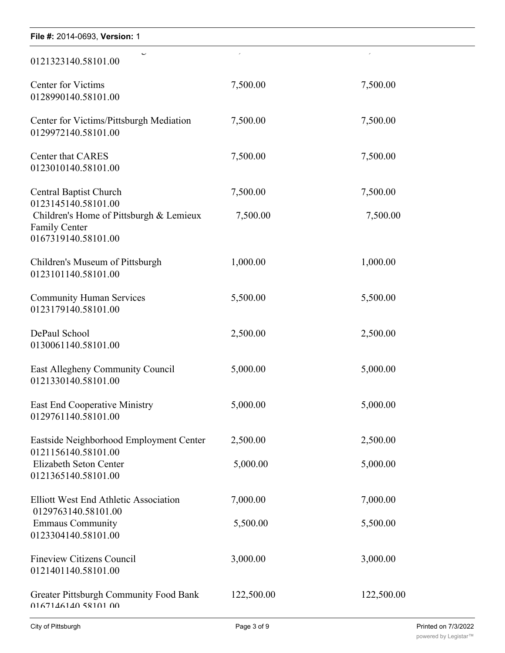| File #: 2014-0693, Version: 1                                                          |                          |            |
|----------------------------------------------------------------------------------------|--------------------------|------------|
| $\overline{\phantom{0}}$<br>0121323140.58101.00                                        | $\overline{\phantom{a}}$ |            |
| <b>Center for Victims</b><br>0128990140.58101.00                                       | 7,500.00                 | 7,500.00   |
| Center for Victims/Pittsburgh Mediation<br>0129972140.58101.00                         | 7,500.00                 | 7,500.00   |
| Center that CARES<br>0123010140.58101.00                                               | 7,500.00                 | 7,500.00   |
| <b>Central Baptist Church</b><br>0123145140.58101.00                                   | 7,500.00                 | 7,500.00   |
| Children's Home of Pittsburgh & Lemieux<br><b>Family Center</b><br>0167319140.58101.00 | 7,500.00                 | 7,500.00   |
| Children's Museum of Pittsburgh<br>0123101140.58101.00                                 | 1,000.00                 | 1,000.00   |
| <b>Community Human Services</b><br>0123179140.58101.00                                 | 5,500.00                 | 5,500.00   |
| DePaul School<br>0130061140.58101.00                                                   | 2,500.00                 | 2,500.00   |
| East Allegheny Community Council<br>0121330140.58101.00                                | 5,000.00                 | 5,000.00   |
| East End Cooperative Ministry<br>0129761140.58101.00                                   | 5,000.00                 | 5,000.00   |
| Eastside Neighborhood Employment Center<br>0121156140.58101.00                         | 2,500.00                 | 2,500.00   |
| Elizabeth Seton Center<br>0121365140.58101.00                                          | 5,000.00                 | 5,000.00   |
| <b>Elliott West End Athletic Association</b><br>0129763140.58101.00                    | 7,000.00                 | 7,000.00   |
| <b>Emmaus Community</b><br>0123304140.58101.00                                         | 5,500.00                 | 5,500.00   |
| <b>Fineview Citizens Council</b><br>0121401140.58101.00                                | 3,000.00                 | 3,000.00   |
| <b>Greater Pittsburgh Community Food Bank</b><br>0167146140 58101 00                   | 122,500.00               | 122,500.00 |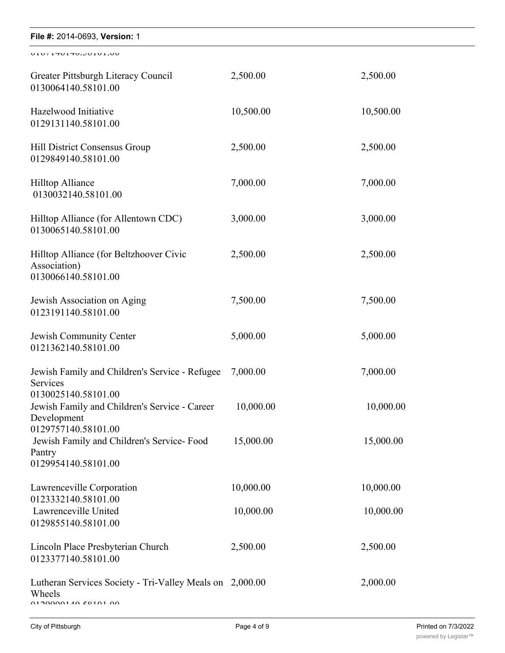| File #: 2014-0693, Version: 1                                                           |           |           |  |  |
|-----------------------------------------------------------------------------------------|-----------|-----------|--|--|
| UIU / ITUITU.JUIUI.UU                                                                   |           |           |  |  |
| Greater Pittsburgh Literacy Council<br>0130064140.58101.00                              | 2,500.00  | 2,500.00  |  |  |
| Hazelwood Initiative<br>0129131140.58101.00                                             | 10,500.00 | 10,500.00 |  |  |
| Hill District Consensus Group<br>0129849140.58101.00                                    | 2,500.00  | 2,500.00  |  |  |
| <b>Hilltop Alliance</b><br>0130032140.58101.00                                          | 7,000.00  | 7,000.00  |  |  |
| Hilltop Alliance (for Allentown CDC)<br>0130065140.58101.00                             | 3,000.00  | 3,000.00  |  |  |
| Hilltop Alliance (for Beltzhoover Civic<br>Association)<br>0130066140.58101.00          | 2,500.00  | 2,500.00  |  |  |
| Jewish Association on Aging<br>0123191140.58101.00                                      | 7,500.00  | 7,500.00  |  |  |
| Jewish Community Center<br>0121362140.58101.00                                          | 5,000.00  | 5,000.00  |  |  |
| Jewish Family and Children's Service - Refugee<br>Services<br>0130025140.58101.00       | 7,000.00  | 7,000.00  |  |  |
| Jewish Family and Children's Service - Career<br>Development<br>0129757140.58101.00     | 10,000.00 | 10,000.00 |  |  |
| Jewish Family and Children's Service- Food<br>Pantry<br>0129954140.58101.00             | 15,000.00 | 15,000.00 |  |  |
| Lawrenceville Corporation<br>0123332140.58101.00                                        | 10,000.00 | 10,000.00 |  |  |
| Lawrenceville United<br>0129855140.58101.00                                             | 10,000.00 | 10,000.00 |  |  |
| Lincoln Place Presbyterian Church<br>0123377140.58101.00                                | 2,500.00  | 2,500.00  |  |  |
| Lutheran Services Society - Tri-Valley Meals on 2,000.00<br>Wheels<br>01000001107010100 |           | 2,000.00  |  |  |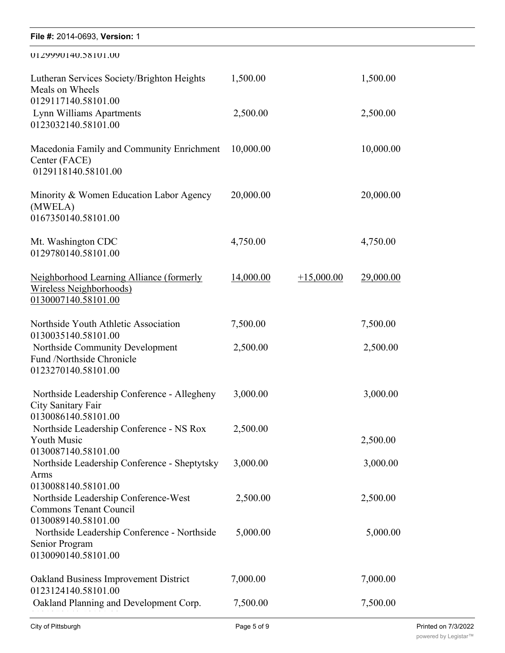| File #: 2014-0693, Version: 1                                                                |           |              |           |
|----------------------------------------------------------------------------------------------|-----------|--------------|-----------|
| 0129990140.38101.00                                                                          |           |              |           |
| Lutheran Services Society/Brighton Heights<br>Meals on Wheels<br>0129117140.58101.00         | 1,500.00  |              | 1,500.00  |
| Lynn Williams Apartments<br>0123032140.58101.00                                              | 2,500.00  |              | 2,500.00  |
| Macedonia Family and Community Enrichment<br>Center (FACE)<br>0129118140.58101.00            | 10,000.00 |              | 10,000.00 |
| Minority & Women Education Labor Agency<br>(MWELA)<br>0167350140.58101.00                    | 20,000.00 |              | 20,000.00 |
| Mt. Washington CDC<br>0129780140.58101.00                                                    | 4,750.00  |              | 4,750.00  |
| Neighborhood Learning Alliance (formerly<br>Wireless Neighborhoods)<br>0130007140.58101.00   | 14,000.00 | $+15,000.00$ | 29,000.00 |
| Northside Youth Athletic Association<br>0130035140.58101.00                                  | 7,500.00  |              | 7,500.00  |
| Northside Community Development<br>Fund /Northside Chronicle<br>0123270140.58101.00          | 2,500.00  |              | 2,500.00  |
| Northside Leadership Conference - Allegheny<br>City Sanitary Fair<br>0130086140.58101.00     | 3,000.00  |              | 3,000.00  |
| Northside Leadership Conference - NS Rox<br><b>Youth Music</b><br>0130087140.58101.00        | 2,500.00  |              | 2,500.00  |
| Northside Leadership Conference - Sheptytsky<br>Arms<br>0130088140.58101.00                  | 3,000.00  |              | 3,000.00  |
| Northside Leadership Conference-West<br><b>Commons Tenant Council</b><br>0130089140.58101.00 | 2,500.00  |              | 2,500.00  |
| Northside Leadership Conference - Northside<br>Senior Program<br>0130090140.58101.00         | 5,000.00  |              | 5,000.00  |
| Oakland Business Improvement District<br>0123124140.58101.00                                 | 7,000.00  |              | 7,000.00  |
| Oakland Planning and Development Corp.                                                       | 7,500.00  |              | 7,500.00  |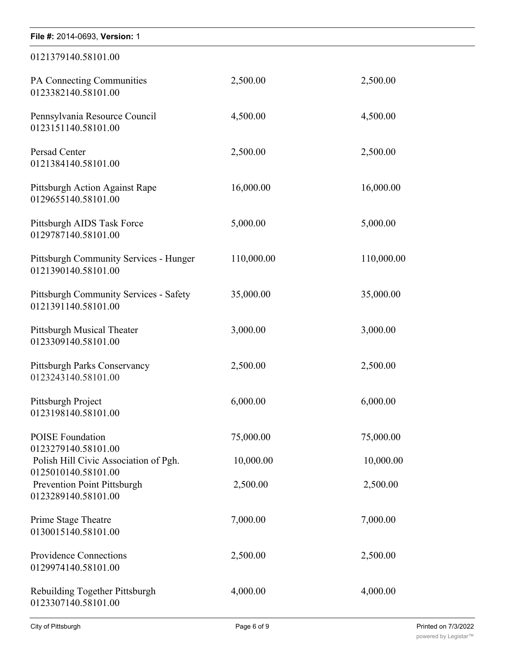| File #: 2014-0693, Version: 1                                        |            |            |  |  |
|----------------------------------------------------------------------|------------|------------|--|--|
| 0121379140.58101.00                                                  |            |            |  |  |
| PA Connecting Communities<br>0123382140.58101.00                     | 2,500.00   | 2,500.00   |  |  |
| Pennsylvania Resource Council<br>0123151140.58101.00                 | 4,500.00   | 4,500.00   |  |  |
| Persad Center<br>0121384140.58101.00                                 | 2,500.00   | 2,500.00   |  |  |
| Pittsburgh Action Against Rape<br>0129655140.58101.00                | 16,000.00  | 16,000.00  |  |  |
| Pittsburgh AIDS Task Force<br>0129787140.58101.00                    | 5,000.00   | 5,000.00   |  |  |
| Pittsburgh Community Services - Hunger<br>0121390140.58101.00        | 110,000.00 | 110,000.00 |  |  |
| <b>Pittsburgh Community Services - Safety</b><br>0121391140.58101.00 | 35,000.00  | 35,000.00  |  |  |
| Pittsburgh Musical Theater<br>0123309140.58101.00                    | 3,000.00   | 3,000.00   |  |  |
| Pittsburgh Parks Conservancy<br>0123243140.58101.00                  | 2,500.00   | 2,500.00   |  |  |
| Pittsburgh Project<br>0123198140.58101.00                            | 6,000.00   | 6,000.00   |  |  |
| <b>POISE Foundation</b><br>0123279140.58101.00                       | 75,000.00  | 75,000.00  |  |  |
| Polish Hill Civic Association of Pgh.<br>0125010140.58101.00         | 10,000.00  | 10,000.00  |  |  |
| Prevention Point Pittsburgh<br>0123289140.58101.00                   | 2,500.00   | 2,500.00   |  |  |
| Prime Stage Theatre<br>0130015140.58101.00                           | 7,000.00   | 7,000.00   |  |  |
| Providence Connections<br>0129974140.58101.00                        | 2,500.00   | 2,500.00   |  |  |
| Rebuilding Together Pittsburgh<br>0123307140.58101.00                | 4,000.00   | 4,000.00   |  |  |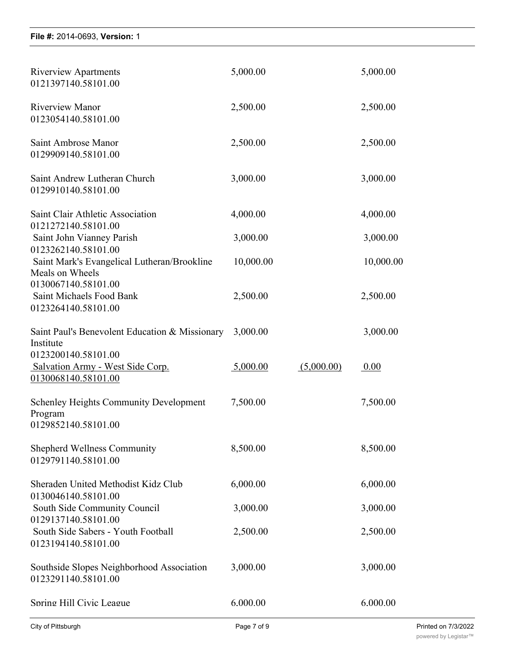0123307140.58101.00

| <b>Riverview Apartments</b><br>0121397140.58101.00                                        | 5,000.00  |            | 5,000.00  |
|-------------------------------------------------------------------------------------------|-----------|------------|-----------|
| <b>Riverview Manor</b><br>0123054140.58101.00                                             | 2,500.00  |            | 2,500.00  |
| Saint Ambrose Manor<br>0129909140.58101.00                                                | 2,500.00  |            | 2,500.00  |
| Saint Andrew Lutheran Church<br>0129910140.58101.00                                       | 3,000.00  |            | 3,000.00  |
| Saint Clair Athletic Association<br>0121272140.58101.00                                   | 4,000.00  |            | 4,000.00  |
| Saint John Vianney Parish                                                                 | 3,000.00  |            | 3,000.00  |
| 0123262140.58101.00<br>Saint Mark's Evangelical Lutheran/Brookline                        | 10,000.00 |            | 10,000.00 |
| Meals on Wheels<br>0130067140.58101.00<br>Saint Michaels Food Bank<br>0123264140.58101.00 | 2,500.00  |            | 2,500.00  |
| Saint Paul's Benevolent Education & Missionary<br>Institute                               | 3,000.00  |            | 3,000.00  |
| 0123200140.58101.00<br>Salvation Army - West Side Corp.<br>0130068140.58101.00            | 5,000.00  | (5,000.00) | 0.00      |
| <b>Schenley Heights Community Development</b><br>Program<br>0129852140.58101.00           | 7,500.00  |            | 7,500.00  |
| <b>Shepherd Wellness Community</b><br>0129791140.58101.00                                 | 8,500.00  |            | 8,500.00  |
| Sheraden United Methodist Kidz Club                                                       | 6,000.00  |            | 6,000.00  |
| 0130046140.58101.00<br>South Side Community Council                                       | 3,000.00  |            | 3,000.00  |
| 0129137140.58101.00<br>South Side Sabers - Youth Football<br>0123194140.58101.00          | 2,500.00  |            | 2,500.00  |
| Southside Slopes Neighborhood Association<br>0123291140.58101.00                          | 3,000.00  |            | 3,000.00  |
| Spring Hill Civic League                                                                  | 6.000.00  |            | 6.000.00  |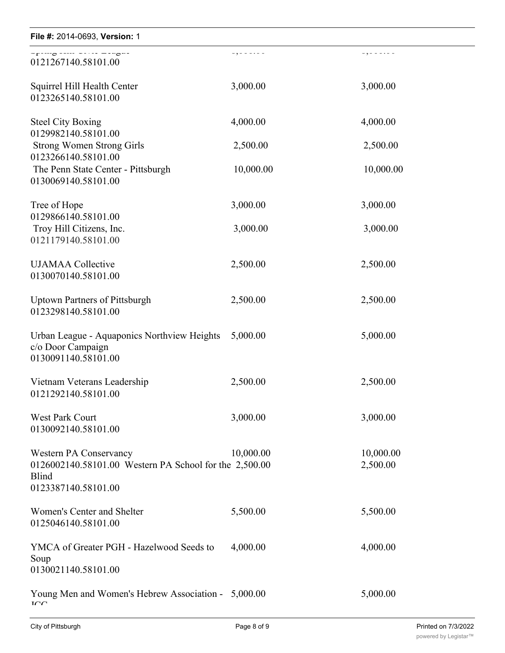| .         | 09000-00                                                                                                      |
|-----------|---------------------------------------------------------------------------------------------------------------|
| 3,000.00  | 3,000.00                                                                                                      |
| 4,000.00  | 4,000.00                                                                                                      |
| 2,500.00  | 2,500.00                                                                                                      |
| 10,000.00 | 10,000.00                                                                                                     |
| 3,000.00  | 3,000.00                                                                                                      |
| 3,000.00  | 3,000.00                                                                                                      |
| 2,500.00  | 2,500.00                                                                                                      |
| 2,500.00  | 2,500.00                                                                                                      |
| 5,000.00  | 5,000.00                                                                                                      |
| 2,500.00  | 2,500.00                                                                                                      |
| 3,000.00  | 3,000.00                                                                                                      |
| 10,000.00 | 10,000.00<br>2,500.00                                                                                         |
| 5,500.00  | 5,500.00                                                                                                      |
| 4,000.00  | 4,000.00                                                                                                      |
|           | 5,000.00                                                                                                      |
|           | 0126002140.58101.00 Western PA School for the 2,500.00<br>Young Men and Women's Hebrew Association - 5,000.00 |